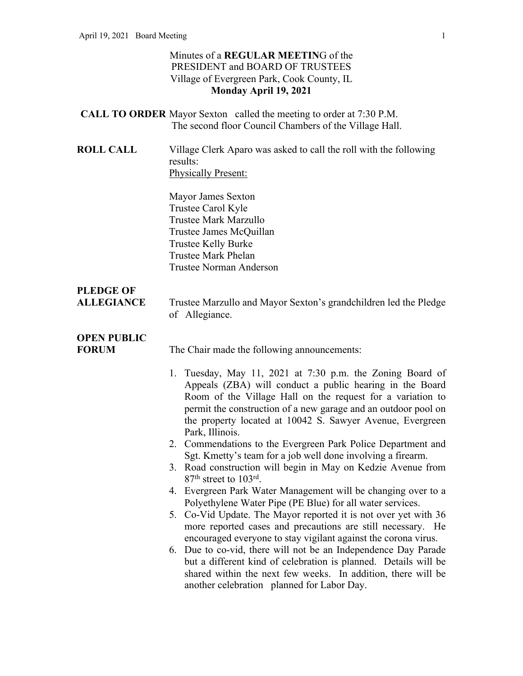#### Minutes of a **REGULAR MEETIN**G of the PRESIDENT and BOARD OF TRUSTEES Village of Evergreen Park, Cook County, IL **Monday April 19, 2021**

- **CALL TO ORDER** Mayor Sexton called the meeting to order at 7:30 P.M. The second floor Council Chambers of the Village Hall.
- **ROLL CALL** Village Clerk Aparo was asked to call the roll with the following results: Physically Present:

Mayor James Sexton Trustee Carol Kyle Trustee Mark Marzullo Trustee James McQuillan Trustee Kelly Burke Trustee Mark Phelan Trustee Norman Anderson

### **PLEDGE OF**

**ALLEGIANCE** Trustee Marzullo and Mayor Sexton's grandchildren led the Pledge of Allegiance.

## **OPEN PUBLIC**

**FORUM** The Chair made the following announcements:

- 1. Tuesday, May 11, 2021 at 7:30 p.m. the Zoning Board of Appeals (ZBA) will conduct a public hearing in the Board Room of the Village Hall on the request for a variation to permit the construction of a new garage and an outdoor pool on the property located at 10042 S. Sawyer Avenue, Evergreen Park, Illinois.
- 2. Commendations to the Evergreen Park Police Department and Sgt. Kmetty's team for a job well done involving a firearm.
- 3. Road construction will begin in May on Kedzie Avenue from 87<sup>th</sup> street to 103<sup>rd</sup>.
- 4. Evergreen Park Water Management will be changing over to a Polyethylene Water Pipe (PE Blue) for all water services.
- 5. Co-Vid Update. The Mayor reported it is not over yet with 36 more reported cases and precautions are still necessary. He encouraged everyone to stay vigilant against the corona virus.
- 6. Due to co-vid, there will not be an Independence Day Parade but a different kind of celebration is planned. Details will be shared within the next few weeks. In addition, there will be another celebration planned for Labor Day.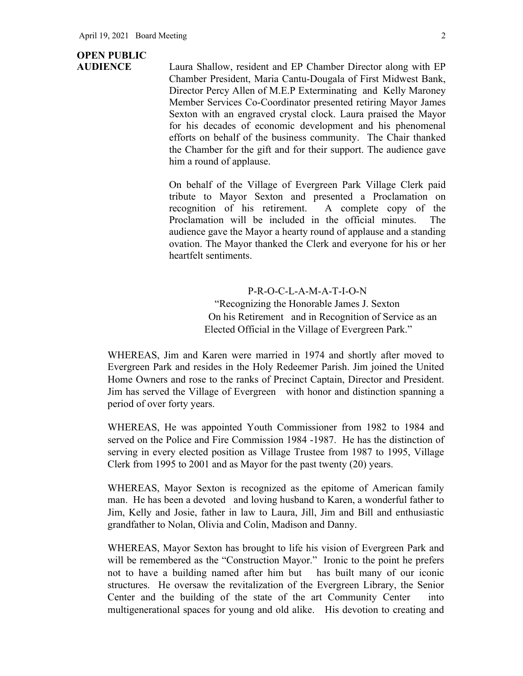# **OPEN PUBLIC**

**AUDIENCE** Laura Shallow, resident and EP Chamber Director along with EP Chamber President, Maria Cantu-Dougala of First Midwest Bank, Director Percy Allen of M.E.P Exterminating and Kelly Maroney Member Services Co-Coordinator presented retiring Mayor James Sexton with an engraved crystal clock. Laura praised the Mayor for his decades of economic development and his phenomenal efforts on behalf of the business community. The Chair thanked the Chamber for the gift and for their support. The audience gave him a round of applause.

> On behalf of the Village of Evergreen Park Village Clerk paid tribute to Mayor Sexton and presented a Proclamation on recognition of his retirement. A complete copy of the Proclamation will be included in the official minutes. The audience gave the Mayor a hearty round of applause and a standing ovation. The Mayor thanked the Clerk and everyone for his or her heartfelt sentiments.

> > P-R-O-C-L-A-M-A-T-I-O-N "Recognizing the Honorable James J. Sexton On his Retirement and in Recognition of Service as an Elected Official in the Village of Evergreen Park."

WHEREAS, Jim and Karen were married in 1974 and shortly after moved to Evergreen Park and resides in the Holy Redeemer Parish. Jim joined the United Home Owners and rose to the ranks of Precinct Captain, Director and President. Jim has served the Village of Evergreen with honor and distinction spanning a period of over forty years.

WHEREAS, He was appointed Youth Commissioner from 1982 to 1984 and served on the Police and Fire Commission 1984 -1987. He has the distinction of serving in every elected position as Village Trustee from 1987 to 1995, Village Clerk from 1995 to 2001 and as Mayor for the past twenty (20) years.

WHEREAS, Mayor Sexton is recognized as the epitome of American family man. He has been a devoted and loving husband to Karen, a wonderful father to Jim, Kelly and Josie, father in law to Laura, Jill, Jim and Bill and enthusiastic grandfather to Nolan, Olivia and Colin, Madison and Danny.

WHEREAS, Mayor Sexton has brought to life his vision of Evergreen Park and will be remembered as the "Construction Mayor." Ironic to the point he prefers not to have a building named after him but has built many of our iconic structures. He oversaw the revitalization of the Evergreen Library, the Senior Center and the building of the state of the art Community Center into multigenerational spaces for young and old alike. His devotion to creating and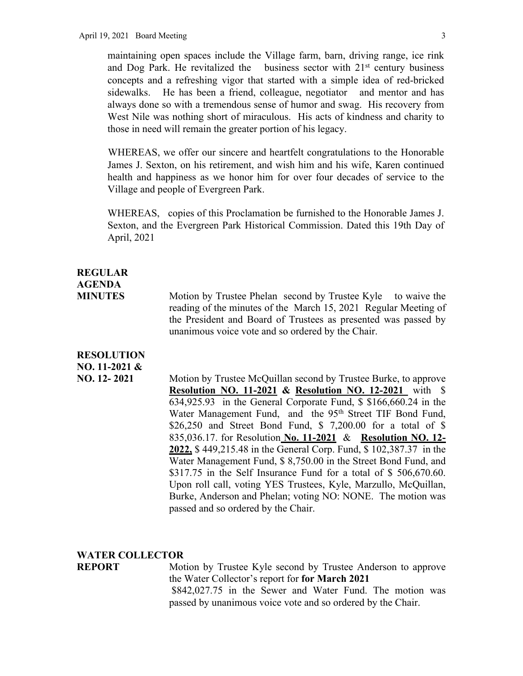maintaining open spaces include the Village farm, barn, driving range, ice rink and Dog Park. He revitalized the business sector with  $21<sup>st</sup>$  century business concepts and a refreshing vigor that started with a simple idea of red-bricked sidewalks. He has been a friend, colleague, negotiator and mentor and has always done so with a tremendous sense of humor and swag. His recovery from West Nile was nothing short of miraculous. His acts of kindness and charity to those in need will remain the greater portion of his legacy.

WHEREAS, we offer our sincere and heartfelt congratulations to the Honorable James J. Sexton, on his retirement, and wish him and his wife, Karen continued health and happiness as we honor him for over four decades of service to the Village and people of Evergreen Park.

WHEREAS, copies of this Proclamation be furnished to the Honorable James J. Sexton, and the Evergreen Park Historical Commission. Dated this 19th Day of April, 2021

### **REGULAR AGENDA**

**MINUTES** Motion by Trustee Phelan second by Trustee Kyle to waive the reading of the minutes of the March 15, 2021 Regular Meeting of the President and Board of Trustees as presented was passed by unanimous voice vote and so ordered by the Chair.

#### **RESOLUTION NO. 11-2021 &**

**NO. 12- 2021** Motion by Trustee McQuillan second by Trustee Burke, to approve **Resolution NO. 11-2021 & Resolution NO. 12-2021** with \$ 634,925.93 in the General Corporate Fund, \$ \$166,660.24 in the Water Management Fund, and the 95<sup>th</sup> Street TIF Bond Fund, \$26,250 and Street Bond Fund, \$ 7,200.00 for a total of \$ 835,036.17. for Resolution **No. 11-2021** & **Resolution NO. 12- 2022,** \$ 449,215.48 in the General Corp. Fund, \$ 102,387.37 in the Water Management Fund, \$ 8,750.00 in the Street Bond Fund, and \$317.75 in the Self Insurance Fund for a total of \$506,670.60. Upon roll call, voting YES Trustees, Kyle, Marzullo, McQuillan, Burke, Anderson and Phelan; voting NO: NONE. The motion was passed and so ordered by the Chair.

#### **WATER COLLECTOR**

**REPORT** Motion by Trustee Kyle second by Trustee Anderson to approve the Water Collector's report for **for March 2021** \$842,027.75 in the Sewer and Water Fund. The motion was passed by unanimous voice vote and so ordered by the Chair.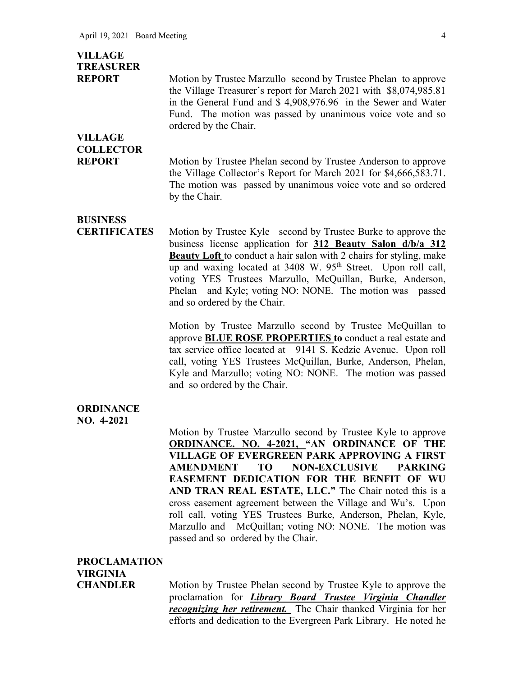| <b>VILLAGE</b><br><b>TREASURER</b><br><b>REPORT</b><br><b>VILLAGE</b> | Motion by Trustee Marzullo second by Trustee Phelan to approve<br>the Village Treasurer's report for March 2021 with \$8,074,985.81<br>in the General Fund and \$4,908,976.96 in the Sewer and Water<br>Fund. The motion was passed by unanimous voice vote and so<br>ordered by the Chair.                                                                                                                                                 |
|-----------------------------------------------------------------------|---------------------------------------------------------------------------------------------------------------------------------------------------------------------------------------------------------------------------------------------------------------------------------------------------------------------------------------------------------------------------------------------------------------------------------------------|
| <b>COLLECTOR</b><br><b>REPORT</b>                                     | Motion by Trustee Phelan second by Trustee Anderson to approve<br>the Village Collector's Report for March 2021 for \$4,666,583.71.<br>The motion was passed by unanimous voice vote and so ordered<br>by the Chair.                                                                                                                                                                                                                        |
| <b>BUSINESS</b><br><b>CERTIFICATES</b>                                | Motion by Trustee Kyle second by Trustee Burke to approve the<br>business license application for 312 Beauty Salon d/b/a 312<br>Beauty Loft to conduct a hair salon with 2 chairs for styling, make<br>up and waxing located at 3408 W. 95 <sup>th</sup> Street. Upon roll call,<br>voting YES Trustees Marzullo, McQuillan, Burke, Anderson,<br>and Kyle; voting NO: NONE. The motion was passed<br>Phelan<br>and so ordered by the Chair. |
|                                                                       | Motion by Trustee Marzullo second by Trustee McQuillan to<br>approve <b>BLUE ROSE PROPERTIES</b> to conduct a real estate and<br>tax service office located at 9141 S. Kedzie Avenue. Upon roll<br>call, voting YES Trustees McQuillan, Burke, Anderson, Phelan,<br>Kyle and Marzullo; voting NO: NONE. The motion was passed<br>and so ordered by the Chair.                                                                               |
| <b>ORDINANCE</b><br>NO. 4-2021                                        | Motion by Trustee Marzullo second by Trustee Kyle to approve<br><b>ORDINANCE. NO. 4-2021, "AN ORDINANCE OF THE</b>                                                                                                                                                                                                                                                                                                                          |

**ORDINANCE. NO. 4-2021, "AN ORDINANCE OF THE VILLAGE OF EVERGREEN PARK APPROVING A FIRST AMENDMENT TO NON-EXCLUSIVE PARKING EASEMENT DEDICATION FOR THE BENFIT OF WU AND TRAN REAL ESTATE, LLC."** The Chair noted this is a cross easement agreement between the Village and Wu's. Upon roll call, voting YES Trustees Burke, Anderson, Phelan, Kyle, Marzullo and McQuillan; voting NO: NONE. The motion was passed and so ordered by the Chair.

#### **PROCLAMATION**

**VIRGINIA** 

**CHANDLER** Motion by Trustee Phelan second by Trustee Kyle to approve the proclamation for *Library Board Trustee Virginia Chandler recognizing her retirement.* The Chair thanked Virginia for her efforts and dedication to the Evergreen Park Library. He noted he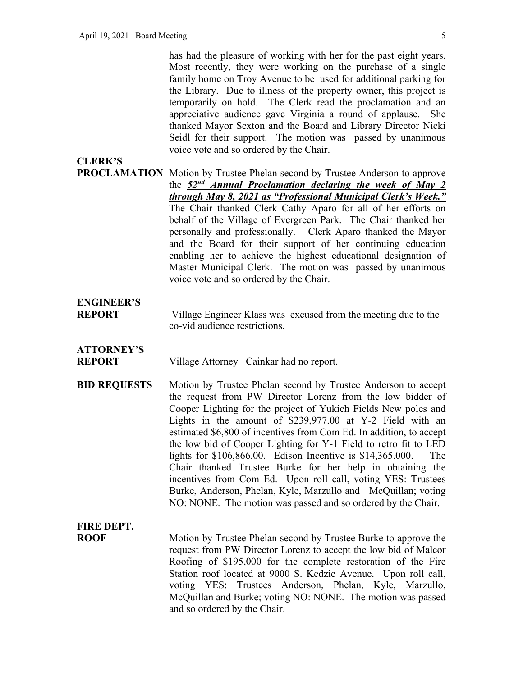has had the pleasure of working with her for the past eight years. Most recently, they were working on the purchase of a single family home on Troy Avenue to be used for additional parking for the Library. Due to illness of the property owner, this project is temporarily on hold. The Clerk read the proclamation and an appreciative audience gave Virginia a round of applause. She thanked Mayor Sexton and the Board and Library Director Nicki Seidl for their support. The motion was passed by unanimous voice vote and so ordered by the Chair.

#### **CLERK'S**

**PROCLAMATION** Motion by Trustee Phelan second by Trustee Anderson to approve the *52nd Annual Proclamation declaring the week of May 2 through May 8, 2021 as "Professional Municipal Clerk's Week."* The Chair thanked Clerk Cathy Aparo for all of her efforts on behalf of the Village of Evergreen Park. The Chair thanked her personally and professionally. Clerk Aparo thanked the Mayor and the Board for their support of her continuing education enabling her to achieve the highest educational designation of Master Municipal Clerk. The motion was passed by unanimous voice vote and so ordered by the Chair.

### **ENGINEER'S**

**REPORT** Village Engineer Klass was excused from the meeting due to the co-vid audience restrictions.

### **ATTORNEY'S**

**REPORT** Village Attorney Cainkar had no report.

**BID REQUESTS** Motion by Trustee Phelan second by Trustee Anderson to accept the request from PW Director Lorenz from the low bidder of Cooper Lighting for the project of Yukich Fields New poles and Lights in the amount of \$239,977.00 at Y-2 Field with an estimated \$6,800 of incentives from Com Ed. In addition, to accept the low bid of Cooper Lighting for Y-1 Field to retro fit to LED lights for \$106,866.00. Edison Incentive is \$14,365.000. The Chair thanked Trustee Burke for her help in obtaining the incentives from Com Ed. Upon roll call, voting YES: Trustees Burke, Anderson, Phelan, Kyle, Marzullo and McQuillan; voting NO: NONE. The motion was passed and so ordered by the Chair.

# **FIRE DEPT.**

**ROOF** Motion by Trustee Phelan second by Trustee Burke to approve the request from PW Director Lorenz to accept the low bid of Malcor Roofing of \$195,000 for the complete restoration of the Fire Station roof located at 9000 S. Kedzie Avenue. Upon roll call, voting YES: Trustees Anderson, Phelan, Kyle, Marzullo, McQuillan and Burke; voting NO: NONE. The motion was passed and so ordered by the Chair.